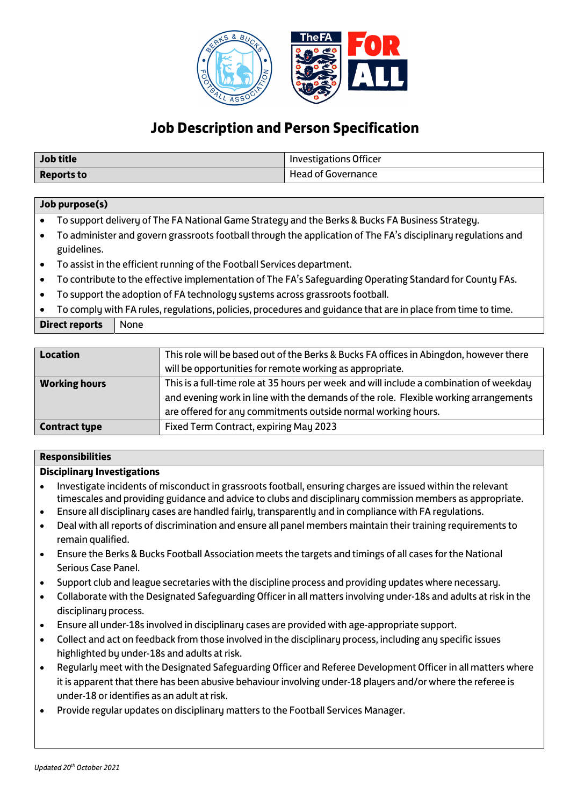

# **Job Description and Person Specification**

| <b>Job title</b>  | <b>Investigations Officer</b> |
|-------------------|-------------------------------|
| <b>Reports to</b> | <b>Head of Governance</b>     |

# **Job purpose(s)**

- To support delivery of The FA National Game Strategy and the Berks & Bucks FA Business Strategy.
- To administer and govern grassroots football through the application of The FA's disciplinary regulations and guidelines.
- To assist in the efficient running of the Football Services department.
- To contribute to the effective implementation of The FA's Safeguarding Operating Standard for County FAs.
- To support the adoption of FA technology systems across grassroots football.
- To comply with FA rules, regulations, policies, procedures and guidance that are in place from time to time.

**Direct reports** None

| <b>Location</b>      | This role will be based out of the Berks & Bucks FA offices in Abingdon, however there  |
|----------------------|-----------------------------------------------------------------------------------------|
|                      | will be opportunities for remote working as appropriate.                                |
| <b>Working hours</b> | This is a full-time role at 35 hours per week and will include a combination of weekday |
|                      | and evening work in line with the demands of the role. Flexible working arrangements    |
|                      | are offered for any commitments outside normal working hours.                           |
| <b>Contract type</b> | Fixed Term Contract, expiring May 2023                                                  |

#### **Responsibilities**

#### **Disciplinary Investigations**

- Investigate incidents of misconduct in grassroots football, ensuring charges are issued within the relevant timescales and providing guidance and advice to clubs and disciplinary commission members as appropriate.
- Ensure all disciplinary cases are handled fairly, transparently and in compliance with FA regulations.
- Deal with all reports of discrimination and ensure all panel members maintain their training requirements to remain qualified.
- Ensure the Berks & Bucks Football Association meets the targets and timings of all cases for the National Serious Case Panel.
- Support club and league secretaries with the discipline process and providing updates where necessary.
- Collaborate with the Designated Safeguarding Officer in all matters involving under-18s and adults at risk in the disciplinary process.
- Ensure all under-18s involved in disciplinary cases are provided with age-appropriate support.
- Collect and act on feedback from those involved in the disciplinary process, including any specific issues highlighted by under-18s and adults at risk.
- Regularly meet with the Designated Safeguarding Officer and Referee Development Officer in all matters where it is apparent that there has been abusive behaviour involving under-18 players and/or where the referee is under-18 or identifies as an adult at risk.
- Provide regular updates on disciplinary matters to the Football Services Manager.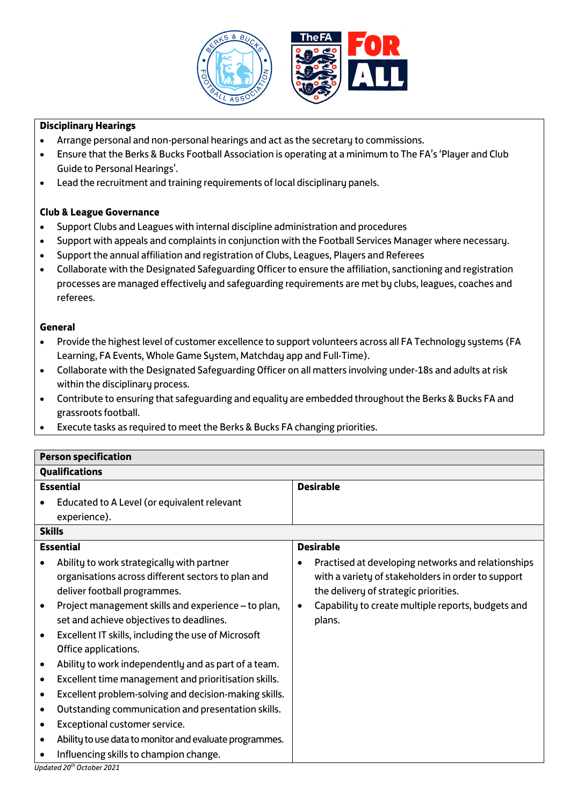

# **Disciplinary Hearings**

- Arrange personal and non-personal hearings and act as the secretary to commissions.
- Ensure that the Berks & Bucks Football Association is operating at a minimum to The FA's 'Player and Club Guide to Personal Hearings'.
- Lead the recruitment and training requirements of local disciplinary panels.

## **Club & League Governance**

- Support Clubs and Leagues with internal discipline administration and procedures
- Support with appeals and complaints in conjunction with the Football Services Manager where necessary.
- Support the annual affiliation and registration of Clubs, Leagues, Players and Referees
- Collaborate with the Designated Safeguarding Officer to ensure the affiliation, sanctioning and registration processes are managed effectively and safeguarding requirements are met by clubs, leagues, coaches and referees.

# **General**

- Provide the highest level of customer excellence to support volunteers across all FA Technology systems (FA Learning, FA Events, Whole Game System, Matchday app and Full-Time).
- Collaborate with the Designated Safeguarding Officer on all matters involving under-18s and adults at risk within the disciplinary process.
- Contribute to ensuring that safeguarding and equality are embedded throughout the Berks & Bucks FA and grassroots football.
- Execute tasks as required to meet the Berks & Bucks FA changing priorities.

| <b>Person specification</b>                                                                                                                                                                                                                                                                                                                                                                                                                                                                                                                                                                                                                                                                                                    |                                                                                                                                                                                                                   |  |  |
|--------------------------------------------------------------------------------------------------------------------------------------------------------------------------------------------------------------------------------------------------------------------------------------------------------------------------------------------------------------------------------------------------------------------------------------------------------------------------------------------------------------------------------------------------------------------------------------------------------------------------------------------------------------------------------------------------------------------------------|-------------------------------------------------------------------------------------------------------------------------------------------------------------------------------------------------------------------|--|--|
| <b>Qualifications</b>                                                                                                                                                                                                                                                                                                                                                                                                                                                                                                                                                                                                                                                                                                          |                                                                                                                                                                                                                   |  |  |
| <b>Essential</b>                                                                                                                                                                                                                                                                                                                                                                                                                                                                                                                                                                                                                                                                                                               | <b>Desirable</b>                                                                                                                                                                                                  |  |  |
| Educated to A Level (or equivalent relevant                                                                                                                                                                                                                                                                                                                                                                                                                                                                                                                                                                                                                                                                                    |                                                                                                                                                                                                                   |  |  |
| experience).                                                                                                                                                                                                                                                                                                                                                                                                                                                                                                                                                                                                                                                                                                                   |                                                                                                                                                                                                                   |  |  |
| <b>Skills</b>                                                                                                                                                                                                                                                                                                                                                                                                                                                                                                                                                                                                                                                                                                                  |                                                                                                                                                                                                                   |  |  |
| <b>Essential</b>                                                                                                                                                                                                                                                                                                                                                                                                                                                                                                                                                                                                                                                                                                               | <b>Desirable</b>                                                                                                                                                                                                  |  |  |
| Ability to work strategically with partner<br>organisations across different sectors to plan and<br>deliver football programmes.<br>Project management skills and experience - to plan,<br>set and achieve objectives to deadlines.<br>Excellent IT skills, including the use of Microsoft<br>Office applications.<br>Ability to work independently and as part of a team.<br>Excellent time management and prioritisation skills.<br>$\bullet$<br>Excellent problem-solving and decision-making skills.<br>$\bullet$<br>Outstanding communication and presentation skills.<br>$\bullet$<br>Exceptional customer service.<br>Ability to use data to monitor and evaluate programmes.<br>Influencing skills to champion change. | Practised at developing networks and relationships<br>with a variety of stakeholders in order to support<br>the delivery of strategic priorities.<br>Capability to create multiple reports, budgets and<br>plans. |  |  |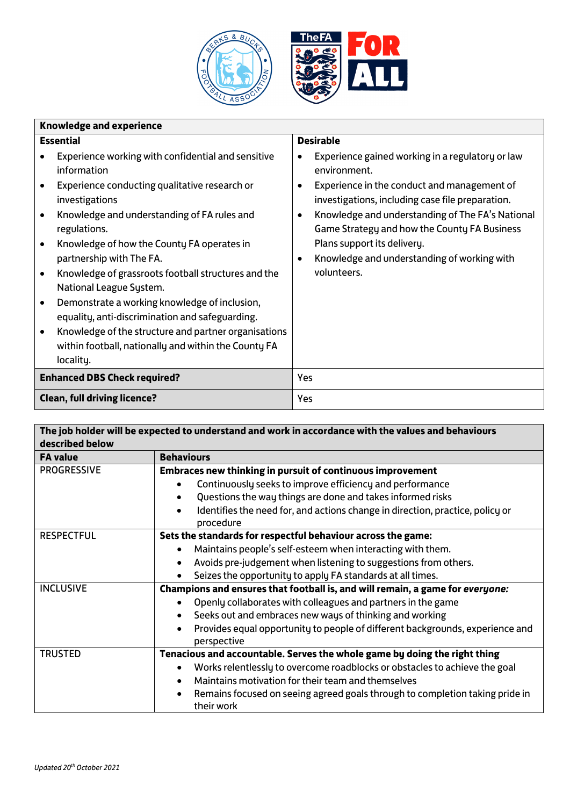

| <b>Knowledge and experience</b> |                                                                                                                           |                  |                                                                                                                            |
|---------------------------------|---------------------------------------------------------------------------------------------------------------------------|------------------|----------------------------------------------------------------------------------------------------------------------------|
| <b>Essential</b>                |                                                                                                                           | <b>Desirable</b> |                                                                                                                            |
| $\bullet$                       | Experience working with confidential and sensitive<br>information<br>Experience conducting qualitative research or        |                  | Experience gained working in a regulatory or law<br>environment.<br>Experience in the conduct and management of            |
| $\bullet$                       | investigations<br>Knowledge and understanding of FA rules and                                                             |                  | investigations, including case file preparation.<br>Knowledge and understanding of The FA's National                       |
| $\bullet$                       | regulations.<br>Knowledge of how the County FA operates in<br>partnership with The FA.                                    |                  | Game Strategy and how the County FA Business<br>Plans support its delivery.<br>Knowledge and understanding of working with |
| $\bullet$                       | Knowledge of grassroots football structures and the<br>National League System.                                            |                  | volunteers.                                                                                                                |
| $\bullet$                       | Demonstrate a working knowledge of inclusion,<br>equality, anti-discrimination and safeguarding.                          |                  |                                                                                                                            |
| $\bullet$                       | Knowledge of the structure and partner organisations<br>within football, nationally and within the County FA<br>locality. |                  |                                                                                                                            |
|                                 | <b>Enhanced DBS Check required?</b>                                                                                       | Yes              |                                                                                                                            |
|                                 | <b>Clean, full driving licence?</b>                                                                                       | Yes              |                                                                                                                            |

| The job holder will be expected to understand and work in accordance with the values and behaviours |                                                                                              |  |  |
|-----------------------------------------------------------------------------------------------------|----------------------------------------------------------------------------------------------|--|--|
| described below                                                                                     |                                                                                              |  |  |
| <b>FA value</b>                                                                                     | <b>Behaviours</b>                                                                            |  |  |
| <b>PROGRESSIVE</b>                                                                                  | Embraces new thinking in pursuit of continuous improvement                                   |  |  |
|                                                                                                     | Continuously seeks to improve efficiency and performance                                     |  |  |
|                                                                                                     | Questions the way things are done and takes informed risks                                   |  |  |
|                                                                                                     | Identifies the need for, and actions change in direction, practice, policy or<br>procedure   |  |  |
| <b>RESPECTFUL</b>                                                                                   | Sets the standards for respectful behaviour across the game:                                 |  |  |
|                                                                                                     | Maintains people's self-esteem when interacting with them.                                   |  |  |
|                                                                                                     | Avoids pre-judgement when listening to suggestions from others.                              |  |  |
|                                                                                                     | Seizes the opportunity to apply FA standards at all times.                                   |  |  |
| <b>INCLUSIVE</b>                                                                                    | Champions and ensures that football is, and will remain, a game for everyone:                |  |  |
|                                                                                                     | Openly collaborates with colleagues and partners in the game                                 |  |  |
|                                                                                                     | Seeks out and embraces new ways of thinking and working                                      |  |  |
|                                                                                                     | Provides equal opportunity to people of different backgrounds, experience and<br>perspective |  |  |
| <b>TRUSTED</b>                                                                                      | Tenacious and accountable. Serves the whole game by doing the right thing                    |  |  |
|                                                                                                     | Works relentlessly to overcome roadblocks or obstacles to achieve the goal                   |  |  |
|                                                                                                     | Maintains motivation for their team and themselves<br>$\bullet$                              |  |  |
|                                                                                                     | Remains focused on seeing agreed goals through to completion taking pride in<br>their work   |  |  |